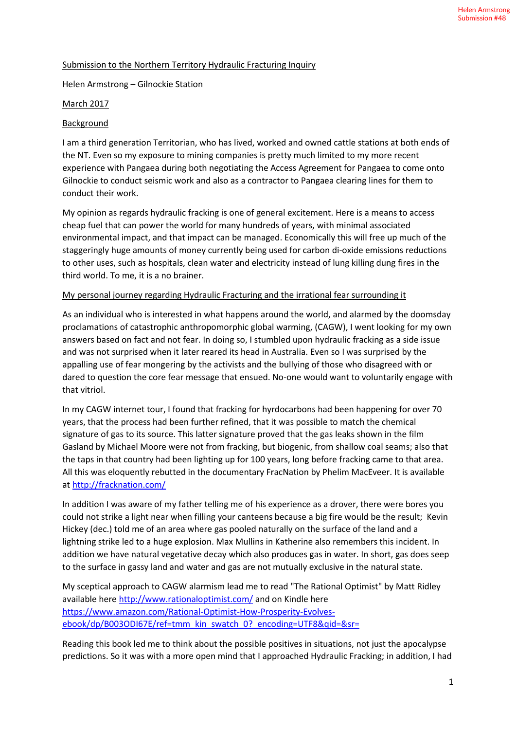## Submission to the Northern Territory Hydraulic Fracturing Inquiry

Helen Armstrong – Gilnockie Station

## March 2017

### Background

I am a third generation Territorian, who has lived, worked and owned cattle stations at both ends of the NT. Even so my exposure to mining companies is pretty much limited to my more recent experience with Pangaea during both negotiating the Access Agreement for Pangaea to come onto Gilnockie to conduct seismic work and also as a contractor to Pangaea clearing lines for them to conduct their work.

My opinion as regards hydraulic fracking is one of general excitement. Here is a means to access cheap fuel that can power the world for many hundreds of years, with minimal associated environmental impact, and that impact can be managed. Economically this will free up much of the staggeringly huge amounts of money currently being used for carbon di-oxide emissions reductions to other uses, such as hospitals, clean water and electricity instead of lung killing dung fires in the third world. To me, it is a no brainer.

#### My personal journey regarding Hydraulic Fracturing and the irrational fear surrounding it

As an individual who is interested in what happens around the world, and alarmed by the doomsday proclamations of catastrophic anthropomorphic global warming, (CAGW), I went looking for my own answers based on fact and not fear. In doing so, I stumbled upon hydraulic fracking as a side issue and was not surprised when it later reared its head in Australia. Even so I was surprised by the appalling use of fear mongering by the activists and the bullying of those who disagreed with or dared to question the core fear message that ensued. No-one would want to voluntarily engage with that vitriol.

In my CAGW internet tour, I found that fracking for hyrdocarbons had been happening for over 70 years, that the process had been further refined, that it was possible to match the chemical signature of gas to its source. This latter signature proved that the gas leaks shown in the film Gasland by Michael Moore were not from fracking, but biogenic, from shallow coal seams; also that the taps in that country had been lighting up for 100 years, long before fracking came to that area. All this was eloquently rebutted in the documentary FracNation by Phelim MacEveer. It is available at http://fracknation.com/

In addition I was aware of my father telling me of his experience as a drover, there were bores you could not strike a light near when filling your canteens because a big fire would be the result; Kevin Hickey (dec.) told me of an area where gas pooled naturally on the surface of the land and a lightning strike led to a huge explosion. Max Mullins in Katherine also remembers this incident. In addition we have natural vegetative decay which also produces gas in water. In short, gas does seep to the surface in gassy land and water and gas are not mutually exclusive in the natural state.

My sceptical approach to CAGW alarmism lead me to read "The Rational Optimist" by Matt Ridley available here http://www.rationaloptimist.com/ and on Kindle here https://www.amazon.com/Rational-Optimist-How-Prosperity-Evolvesebook/dp/B003ODI67E/ref=tmm kin swatch 0? encoding=UTF8&qid=&sr=

Reading this book led me to think about the possible positives in situations, not just the apocalypse predictions. So it was with a more open mind that I approached Hydraulic Fracking; in addition, I had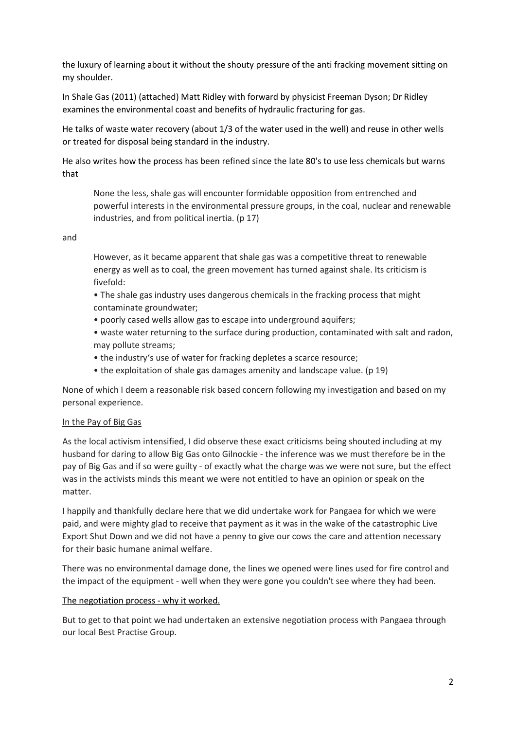the luxury of learning about it without the shouty pressure of the anti fracking movement sitting on my shoulder.

In Shale Gas (2011) (attached) Matt Ridley with forward by physicist Freeman Dyson; Dr Ridley examines the environmental coast and benefits of hydraulic fracturing for gas.

He talks of waste water recovery (about 1/3 of the water used in the well) and reuse in other wells or treated for disposal being standard in the industry.

He also writes how the process has been refined since the late 80's to use less chemicals but warns that

None the less, shale gas will encounter formidable opposition from entrenched and powerful interests in the environmental pressure groups, in the coal, nuclear and renewable industries, and from political inertia. (p 17)

#### and

However, as it became apparent that shale gas was a competitive threat to renewable energy as well as to coal, the green movement has turned against shale. Its criticism is fivefold:

• The shale gas industry uses dangerous chemicals in the fracking process that might contaminate groundwater;

- poorly cased wells allow gas to escape into underground aquifers;
- waste water returning to the surface during production, contaminated with salt and radon, may pollute streams;
- the industry's use of water for fracking depletes a scarce resource;
- the exploitation of shale gas damages amenity and landscape value. (p 19)

None of which I deem a reasonable risk based concern following my investigation and based on my personal experience.

#### In the Pay of Big Gas

As the local activism intensified, I did observe these exact criticisms being shouted including at my husband for daring to allow Big Gas onto Gilnockie - the inference was we must therefore be in the pay of Big Gas and if so were guilty - of exactly what the charge was we were not sure, but the effect was in the activists minds this meant we were not entitled to have an opinion or speak on the matter.

I happily and thankfully declare here that we did undertake work for Pangaea for which we were paid, and were mighty glad to receive that payment as it was in the wake of the catastrophic Live Export Shut Down and we did not have a penny to give our cows the care and attention necessary for their basic humane animal welfare.

There was no environmental damage done, the lines we opened were lines used for fire control and the impact of the equipment - well when they were gone you couldn't see where they had been.

#### The negotiation process - why it worked.

But to get to that point we had undertaken an extensive negotiation process with Pangaea through our local Best Practise Group.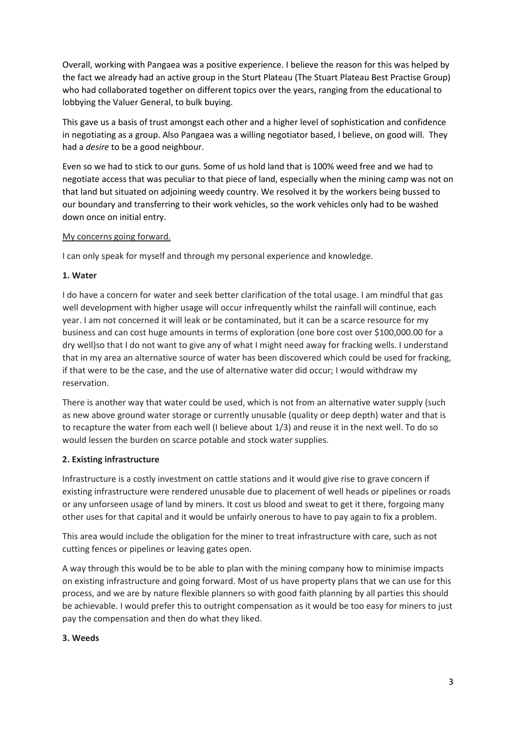Overall, working with Pangaea was a positive experience. I believe the reason for this was helped by the fact we already had an active group in the Sturt Plateau (The Stuart Plateau Best Practise Group) who had collaborated together on different topics over the years, ranging from the educational to lobbying the Valuer General, to bulk buying.

This gave us a basis of trust amongst each other and a higher level of sophistication and confidence in negotiating as a group. Also Pangaea was a willing negotiator based, I believe, on good will. They had a *desire* to be a good neighbour.

Even so we had to stick to our guns. Some of us hold land that is 100% weed free and we had to negotiate access that was peculiar to that piece of land, especially when the mining camp was not on that land but situated on adjoining weedy country. We resolved it by the workers being bussed to our boundary and transferring to their work vehicles, so the work vehicles only had to be washed down once on initial entry.

### My concerns going forward.

I can only speak for myself and through my personal experience and knowledge.

#### **1. Water**

I do have a concern for water and seek better clarification of the total usage. I am mindful that gas well development with higher usage will occur infrequently whilst the rainfall will continue, each year. I am not concerned it will leak or be contaminated, but it can be a scarce resource for my business and can cost huge amounts in terms of exploration (one bore cost over \$100,000.00 for a dry well)so that I do not want to give any of what I might need away for fracking wells. I understand that in my area an alternative source of water has been discovered which could be used for fracking, if that were to be the case, and the use of alternative water did occur; I would withdraw my reservation.

There is another way that water could be used, which is not from an alternative water supply (such as new above ground water storage or currently unusable (quality or deep depth) water and that is to recapture the water from each well (I believe about 1/3) and reuse it in the next well. To do so would lessen the burden on scarce potable and stock water supplies.

# **2. Existing infrastructure**

Infrastructure is a costly investment on cattle stations and it would give rise to grave concern if existing infrastructure were rendered unusable due to placement of well heads or pipelines or roads or any unforseen usage of land by miners. It cost us blood and sweat to get it there, forgoing many other uses for that capital and it would be unfairly onerous to have to pay again to fix a problem.

This area would include the obligation for the miner to treat infrastructure with care, such as not cutting fences or pipelines or leaving gates open.

A way through this would be to be able to plan with the mining company how to minimise impacts on existing infrastructure and going forward. Most of us have property plans that we can use for this process, and we are by nature flexible planners so with good faith planning by all parties this should be achievable. I would prefer this to outright compensation as it would be too easy for miners to just pay the compensation and then do what they liked.

#### **3. Weeds**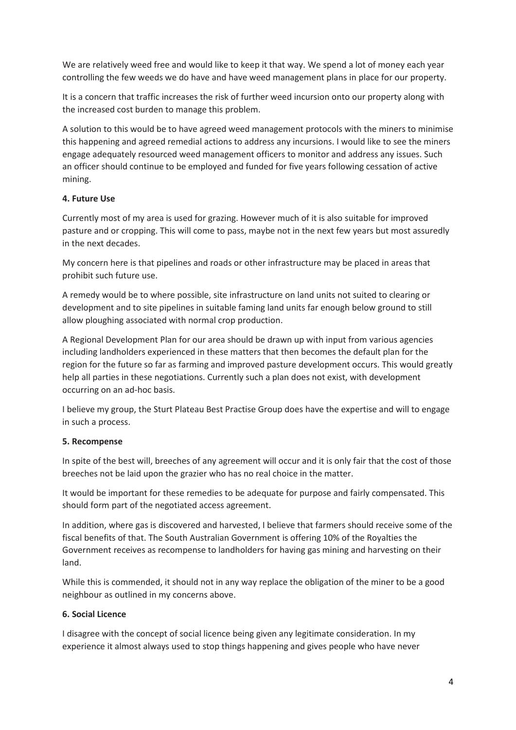We are relatively weed free and would like to keep it that way. We spend a lot of money each year controlling the few weeds we do have and have weed management plans in place for our property.

It is a concern that traffic increases the risk of further weed incursion onto our property along with the increased cost burden to manage this problem.

A solution to this would be to have agreed weed management protocols with the miners to minimise this happening and agreed remedial actions to address any incursions. I would like to see the miners engage adequately resourced weed management officers to monitor and address any issues. Such an officer should continue to be employed and funded for five years following cessation of active mining.

### **4. Future Use**

Currently most of my area is used for grazing. However much of it is also suitable for improved pasture and or cropping. This will come to pass, maybe not in the next few years but most assuredly in the next decades.

My concern here is that pipelines and roads or other infrastructure may be placed in areas that prohibit such future use.

A remedy would be to where possible, site infrastructure on land units not suited to clearing or development and to site pipelines in suitable faming land units far enough below ground to still allow ploughing associated with normal crop production.

A Regional Development Plan for our area should be drawn up with input from various agencies including landholders experienced in these matters that then becomes the default plan for the region for the future so far as farming and improved pasture development occurs. This would greatly help all parties in these negotiations. Currently such a plan does not exist, with development occurring on an ad-hoc basis.

I believe my group, the Sturt Plateau Best Practise Group does have the expertise and will to engage in such a process.

# **5. Recompense**

In spite of the best will, breeches of any agreement will occur and it is only fair that the cost of those breeches not be laid upon the grazier who has no real choice in the matter.

It would be important for these remedies to be adequate for purpose and fairly compensated. This should form part of the negotiated access agreement.

In addition, where gas is discovered and harvested, I believe that farmers should receive some of the fiscal benefits of that. The South Australian Government is offering 10% of the Royalties the Government receives as recompense to landholders for having gas mining and harvesting on their land.

While this is commended, it should not in any way replace the obligation of the miner to be a good neighbour as outlined in my concerns above.

#### **6. Social Licence**

I disagree with the concept of social licence being given any legitimate consideration. In my experience it almost always used to stop things happening and gives people who have never